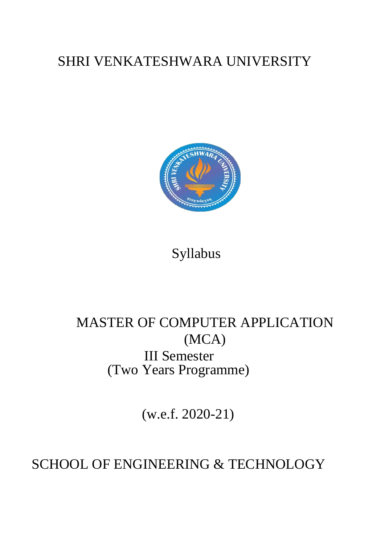# SHRI VENKATESHWARA UNIVERSITY



Syllabus

# MASTER OF COMPUTER APPLICATION (MCA) III Semester (Two Years Programme)

(w.e.f. 2020-21)

# SCHOOL OF ENGINEERING & TECHNOLOGY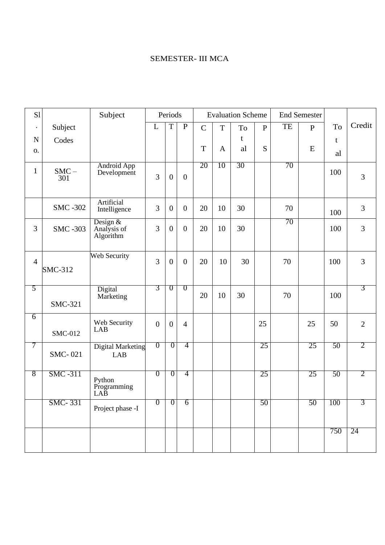# SEMESTER- III MCA

| S1             |                 | Subject                                |                  | Periods          |                  |                |              | <b>Evaluation Scheme</b> |              |    | <b>End Semester</b> |     |                |
|----------------|-----------------|----------------------------------------|------------------|------------------|------------------|----------------|--------------|--------------------------|--------------|----|---------------------|-----|----------------|
| $\bullet$      | Subject         |                                        | $\overline{L}$   | $\overline{T}$   | $\overline{P}$   | $\overline{C}$ | T            | To                       | $\mathbf{P}$ | TE | $\mathbf{P}$        | To  | Credit         |
| $\mathbf N$    | Codes           |                                        |                  |                  |                  |                |              | t                        |              |    |                     | t   |                |
| 0.             |                 |                                        |                  |                  |                  | $\mathbf T$    | $\mathbf{A}$ | al                       | S            |    | E                   | al  |                |
| $\mathbf{1}$   | $SMC -$<br>301  | <b>Android App</b><br>Development      | 3                | $\boldsymbol{0}$ | $\boldsymbol{0}$ | 20             | 10           | 30                       |              | 70 |                     | 100 | 3              |
|                | <b>SMC -302</b> | Artificial<br>Intelligence             | 3                | $\boldsymbol{0}$ | $\boldsymbol{0}$ | 20             | 10           | 30                       |              | 70 |                     | 100 | 3              |
| 3              | <b>SMC -303</b> | Design $&$<br>Analysis of<br>Algorithm | 3                | $\boldsymbol{0}$ | $\boldsymbol{0}$ | 20             | 10           | 30                       |              | 70 |                     | 100 | 3              |
| $\overline{4}$ | <b>SMC-312</b>  | Web Security                           | 3                | $\boldsymbol{0}$ | $\boldsymbol{0}$ | 20             | 10           | 30                       |              | 70 |                     | 100 | 3              |
| 5              | <b>SMC-321</b>  | Digital<br>Marketing                   | 3                | $\overline{0}$   | $\overline{0}$   | 20             | 10           | 30                       |              | 70 |                     | 100 | 3              |
| $\overline{6}$ | <b>SMC-012</b>  | Web Security<br><b>LAB</b>             | $\boldsymbol{0}$ | $\boldsymbol{0}$ | $\overline{4}$   |                |              |                          | 25           |    | 25                  | 50  | $\overline{2}$ |
| 7              | <b>SMC-021</b>  | <b>Digital Marketing</b><br><b>LAB</b> | $\overline{0}$   | $\overline{0}$   | $\overline{4}$   |                |              |                          | 25           |    | 25                  | 50  | $\overline{2}$ |
| 8              | <b>SMC -311</b> | Python<br>Programming<br>LAB           | $\overline{0}$   | $\overline{0}$   | 4                |                |              |                          | 25           |    | 25                  | 50  | 2              |
|                | <b>SMC-331</b>  | Project phase -I                       | $\overline{0}$   | $\overline{0}$   | $\overline{6}$   |                |              |                          | 50           |    | 50                  | 100 | 3              |
|                |                 |                                        |                  |                  |                  |                |              |                          |              |    |                     | 750 | 24             |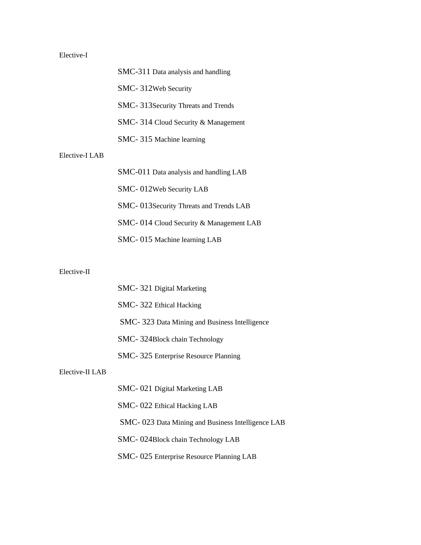## Elective-I

|                | SMC-311 Data analysis and handling      |
|----------------|-----------------------------------------|
|                | SMC-312Web Security                     |
|                | SMC-313 Security Threats and Trends     |
|                | SMC-314 Cloud Security & Management     |
|                | SMC-315 Machine learning                |
| Elective-I LAB |                                         |
|                | SMC-011 Data analysis and handling LAB  |
|                | SMC-012Web Security LAB                 |
|                | SMC-013 Security Threats and Trends LAB |
|                | SMC-014 Cloud Security & Management LAB |
|                | SMC-015 Machine learning LAB            |

#### Elective-II

|                 | SMC-321 Digital Marketing                         |
|-----------------|---------------------------------------------------|
|                 | SMC-322 Ethical Hacking                           |
|                 | SMC-323 Data Mining and Business Intelligence     |
|                 | SMC-324Block chain Technology                     |
|                 | SMC-325 Enterprise Resource Planning              |
| Elective-II LAB |                                                   |
|                 | SMC-021 Digital Marketing LAB                     |
|                 | SMC-022 Ethical Hacking LAB                       |
|                 | SMC-023 Data Mining and Business Intelligence LAB |
|                 | SMC-024Block chain Technology LAB                 |
|                 | SMC-025 Enterprise Resource Planning LAB          |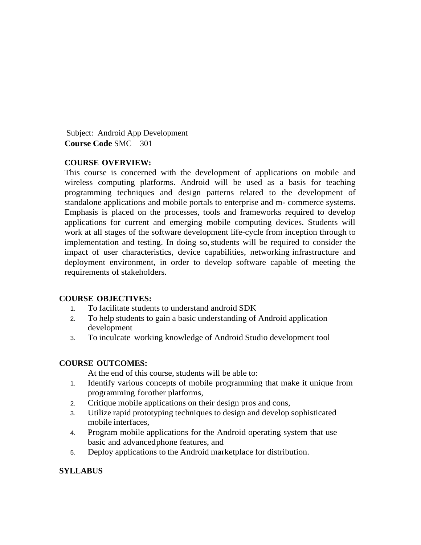Subject: Android App Development **Course Code** SMC – 301

#### **COURSE OVERVIEW:**

This course is concerned with the development of applications on mobile and wireless computing platforms. Android will be used as a basis for teaching programming techniques and design patterns related to the development of standalone applications and mobile portals to enterprise and m- commerce systems. Emphasis is placed on the processes, tools and frameworks required to develop applications for current and emerging mobile computing devices. Students will work at all stages of the software development life-cycle from inception through to implementation and testing. In doing so, students will be required to consider the impact of user characteristics, device capabilities, networking infrastructure and deployment environment, in order to develop software capable of meeting the requirements of stakeholders.

#### **COURSE OBJECTIVES:**

- 1. To facilitate students to understand android SDK
- 2. To help students to gain a basic understanding of Android application development
- 3. To inculcate working knowledge of Android Studio development tool

#### **COURSE OUTCOMES:**

At the end of this course, students will be able to:

- 1. Identify various concepts of mobile programming that make it unique from programming forother platforms,
- 2. Critique mobile applications on their design pros and cons,
- 3. Utilize rapid prototyping techniques to design and develop sophisticated mobile interfaces,
- 4. Program mobile applications for the Android operating system that use basic and advancedphone features, and
- 5. Deploy applications to the Android marketplace for distribution.

#### **SYLLABUS**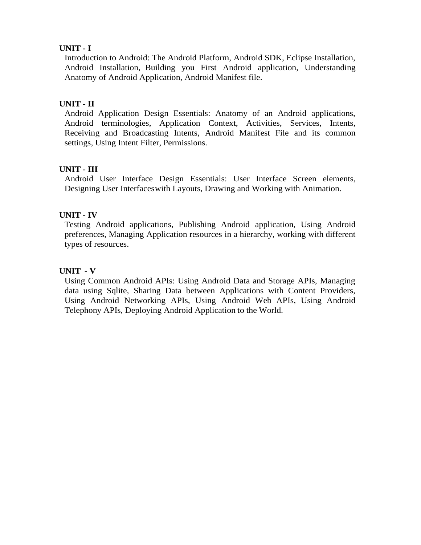#### **UNIT - I**

Introduction to Android: The Android Platform, Android SDK, Eclipse Installation, Android Installation, Building you First Android application, Understanding Anatomy of Android Application, Android Manifest file.

### **UNIT - II**

Android Application Design Essentials: Anatomy of an Android applications, Android terminologies, Application Context, Activities, Services, Intents, Receiving and Broadcasting Intents, Android Manifest File and its common settings, Using Intent Filter, Permissions.

## **UNIT - III**

Android User Interface Design Essentials: User Interface Screen elements, Designing User Interfaceswith Layouts, Drawing and Working with Animation.

## **UNIT - IV**

Testing Android applications, Publishing Android application, Using Android preferences, Managing Application resources in a hierarchy, working with different types of resources.

## **UNIT - V**

Using Common Android APIs: Using Android Data and Storage APIs, Managing data using Sqlite, Sharing Data between Applications with Content Providers, Using Android Networking APIs, Using Android Web APIs, Using Android Telephony APIs, Deploying Android Application to the World.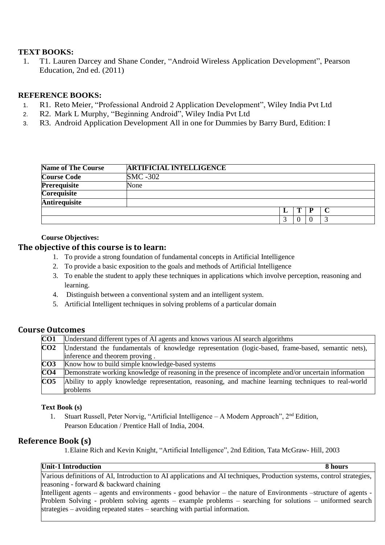#### **TEXT BOOKS:**

1. T1. Lauren Darcey and Shane Conder, "Android Wireless Application Development", Pearson Education, 2nd ed. (2011)

#### **REFERENCE BOOKS:**

- 1. R1. Reto Meier, "Professional Android 2 Application Development", Wiley India Pvt Ltd
- 2. R2. Mark L Murphy, "Beginning Android", Wiley India Pvt Ltd
- 3. R3. Android Application Development All in one for Dummies by Barry Burd, Edition: I

| <b>Name of The Course</b> | <b>ARTIFICIAL INTELLIGENCE</b> |  |  |
|---------------------------|--------------------------------|--|--|
| <b>Course Code</b>        | <b>SMC -302</b>                |  |  |
| <b>Prerequisite</b>       | None                           |  |  |
| <b>Corequisite</b>        |                                |  |  |
| Antirequisite             |                                |  |  |
|                           |                                |  |  |
|                           |                                |  |  |

#### **Course Objectives:**

#### **The objective of this course is to learn:**

- 1. To provide a strong foundation of fundamental concepts in Artificial Intelligence
- 2. To provide a basic exposition to the goals and methods of Artificial Intelligence
- 3. To enable the student to apply these techniques in applications which involve perception, reasoning and learning.
- 4. Distinguish between a conventional system and an intelligent system.
- 5. Artificial Intelligent techniques in solving problems of a particular domain

### **Course Outcomes**

| $\overline{\text{CO1}}$ | Understand different types of AI agents and knows various AI search algorithms                        |
|-------------------------|-------------------------------------------------------------------------------------------------------|
| CO <sub>2</sub>         | Understand the fundamentals of knowledge representation (logic-based, frame-based, semantic nets),    |
|                         | inference and theorem proving.                                                                        |
| $\overline{CO3}$        | Know how to build simple knowledge-based systems                                                      |
| CO <sub>4</sub>         | Demonstrate working knowledge of reasoning in the presence of incomplete and/or uncertain information |
| CO <sub>5</sub>         | Ability to apply knowledge representation, reasoning, and machine learning techniques to real-world   |
|                         | problems                                                                                              |

#### **Text Book (s)**

1. Stuart Russell, Peter Norvig, "Artificial Intelligence - A Modern Approach", 2<sup>nd</sup> Edition, Pearson Education / Prentice Hall of India, 2004.

#### **Reference Book (s)**

1.Elaine Rich and Kevin Knight, "Artificial Intelligence", 2nd Edition, Tata McGraw- Hill, 2003

#### **Unit-1 Introduction 8 hours**

Various definitions of AI, Introduction to AI applications and AI techniques, Production systems, control strategies, reasoning - forward & backward chaining

Intelligent agents – agents and environments - good behavior – the nature of Environments –structure of agents -Problem Solving - problem solving agents – example problems – searching for solutions – uniformed search strategies – avoiding repeated states – searching with partial information.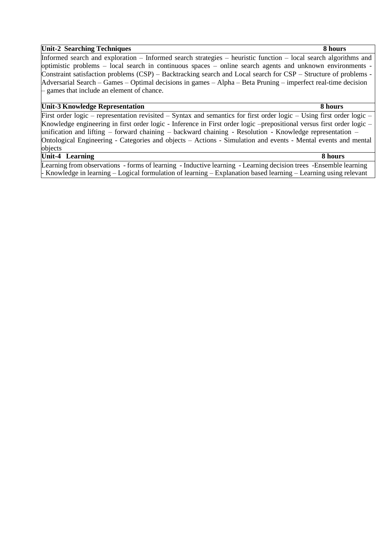#### **Unit-2 Searching Techniques 8 hours**

Informed search and exploration – Informed search strategies – heuristic function – local search algorithms and optimistic problems – local search in continuous spaces – online search agents and unknown environments - Constraint satisfaction problems (CSP) – Backtracking search and Local search for CSP – Structure of problems - Adversarial Search – Games – Optimal decisions in games – Alpha – Beta Pruning – imperfect real-time decision – games that include an element of chance.

#### **Unit-3 Knowledge Representation 8 hours**

First order logic – representation revisited – Syntax and semantics for first order logic – Using first order logic – Knowledge engineering in first order logic - Inference in First order logic –prepositional versus first order logic – unification and lifting – forward chaining – backward chaining - Resolution - Knowledge representation – Ontological Engineering - Categories and objects – Actions - Simulation and events - Mental events and mental objects **Unit-4 Learning 8 hours**

Learning from observations - forms of learning - Inductive learning - Learning decision trees -Ensemble learning - Knowledge in learning – Logical formulation of learning – Explanation based learning – Learning using relevant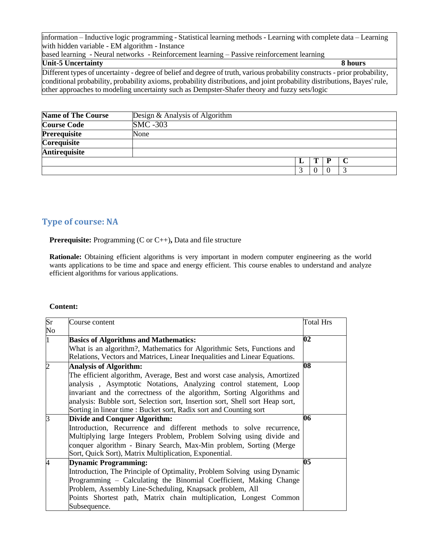information – Inductive logic programming - Statistical learning methods - Learning with complete data – Learning with hidden variable - EM algorithm - Instance

based learning - Neural networks - Reinforcement learning – Passive reinforcement learning

| <b>Unit-5 Uncertainty</b>                                                                                                  | 8 hours |
|----------------------------------------------------------------------------------------------------------------------------|---------|
| Different types of uncertainty - degree of belief and degree of truth, various probability constructs - prior probability, |         |
| conditional probability, probability axioms, probability distributions, and joint probability distributions, Bayes' rule,  |         |
| other approaches to modeling uncertainty such as Dempster-Shafer theory and fuzzy sets/logic                               |         |

| Name of The Course | Design & Analysis of Algorithm |   |   |  |
|--------------------|--------------------------------|---|---|--|
| <b>Course Code</b> | <b>SMC</b> -303                |   |   |  |
| Prerequisite       | None                           |   |   |  |
| <b>Corequisite</b> |                                |   |   |  |
| Antirequisite      |                                |   |   |  |
|                    |                                |   | P |  |
|                    |                                | 2 |   |  |

# **Type of course: NA**

**Prerequisite:** Programming (C or C++)**,** Data and file structure

Rationale: Obtaining efficient algorithms is very important in modern computer engineering as the world wants applications to be time and space and energy efficient. This course enables to understand and analyze efficient algorithms for various applications.

#### **Content:**

| Sr | Course content                                                               | <b>Total Hrs</b>         |
|----|------------------------------------------------------------------------------|--------------------------|
| No |                                                                              |                          |
| 1  | <b>Basics of Algorithms and Mathematics:</b>                                 | 02                       |
|    | What is an algorithm?, Mathematics for Algorithmic Sets, Functions and       |                          |
|    | Relations, Vectors and Matrices, Linear Inequalities and Linear Equations.   |                          |
| 2  | <b>Analysis of Algorithm:</b>                                                | 08                       |
|    | The efficient algorithm, Average, Best and worst case analysis, Amortized    |                          |
|    | analysis, Asymptotic Notations, Analyzing control statement, Loop            |                          |
|    | invariant and the correctness of the algorithm, Sorting Algorithms and       |                          |
|    | analysis: Bubble sort, Selection sort, Insertion sort, Shell sort Heap sort, |                          |
|    | Sorting in linear time : Bucket sort, Radix sort and Counting sort           |                          |
| ß  | <b>Divide and Conquer Algorithm:</b>                                         | 06                       |
|    | Introduction, Recurrence and different methods to solve recurrence,          |                          |
|    | Multiplying large Integers Problem, Problem Solving using divide and         |                          |
|    | conquer algorithm - Binary Search, Max-Min problem, Sorting (Merge           |                          |
|    | Sort, Quick Sort), Matrix Multiplication, Exponential.                       |                          |
| 4  | <b>Dynamic Programming:</b>                                                  | $\overline{\textbf{05}}$ |
|    | Introduction, The Principle of Optimality, Problem Solving using Dynamic     |                          |
|    | Programming – Calculating the Binomial Coefficient, Making Change            |                          |
|    | Problem, Assembly Line-Scheduling, Knapsack problem, All                     |                          |
|    | Points Shortest path, Matrix chain multiplication, Longest Common            |                          |
|    | Subsequence.                                                                 |                          |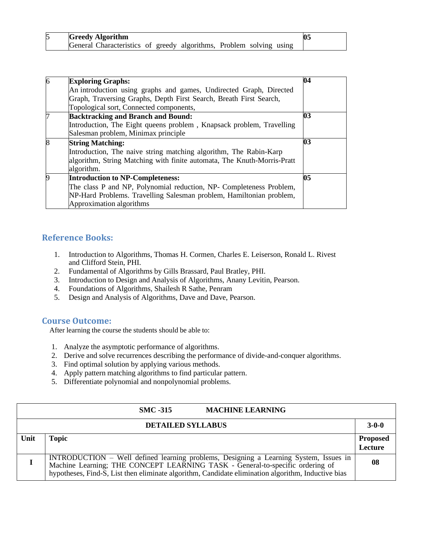| <b>Greedy Algorithm</b>                                             |  |  |  |  |
|---------------------------------------------------------------------|--|--|--|--|
| General Characteristics of greedy algorithms, Problem solving using |  |  |  |  |

| <b>Exploring Graphs:</b>                                                | 04 |
|-------------------------------------------------------------------------|----|
| An introduction using graphs and games, Undirected Graph, Directed      |    |
| Graph, Traversing Graphs, Depth First Search, Breath First Search,      |    |
| Topological sort, Connected components,                                 |    |
| <b>Backtracking and Branch and Bound:</b>                               | 03 |
| Introduction, The Eight queens problem, Knapsack problem, Travelling    |    |
| Salesman problem, Minimax principle                                     |    |
| <b>String Matching:</b>                                                 | 03 |
| Introduction, The naive string matching algorithm, The Rabin-Karp       |    |
| algorithm, String Matching with finite automata, The Knuth-Morris-Pratt |    |
| algorithm.                                                              |    |
| <b>Introduction to NP-Completeness:</b>                                 | 05 |
| The class P and NP, Polynomial reduction, NP- Completeness Problem,     |    |
| NP-Hard Problems. Travelling Salesman problem, Hamiltonian problem,     |    |
| Approximation algorithms                                                |    |

### **Reference Books:**

- 1. Introduction to Algorithms, Thomas H. Cormen, Charles E. Leiserson, Ronald L. Rivest and Clifford Stein, PHI.
- 2. Fundamental of Algorithms by Gills Brassard, Paul Bratley, PHI.
- 3. Introduction to Design and Analysis of Algorithms, Anany Levitin, Pearson.
- 4. Foundations of Algorithms, Shailesh R Sathe, Penram
- 5. Design and Analysis of Algorithms, Dave and Dave, Pearson.

#### **Course Outcome:**

After learning the course the students should be able to:

- 1. Analyze the asymptotic performance of algorithms.
- 2. Derive and solve recurrences describing the performance of divide-and-conquer algorithms.
- 3. Find optimal solution by applying various methods.
- 4. Apply pattern matching algorithms to find particular pattern.
- 5. Differentiate polynomial and nonpolynomial problems.

|      | <b>MACHINE LEARNING</b><br><b>SMC -315</b>                                                                                                                                                                                                                                |                            |
|------|---------------------------------------------------------------------------------------------------------------------------------------------------------------------------------------------------------------------------------------------------------------------------|----------------------------|
|      | <b>DETAILED SYLLABUS</b>                                                                                                                                                                                                                                                  | $3 - 0 - 0$                |
| Unit | <b>Topic</b>                                                                                                                                                                                                                                                              | <b>Proposed</b><br>Lecture |
|      | INTRODUCTION – Well defined learning problems, Designing a Learning System, Issues in Machine Learning; THE CONCEPT LEARNING TASK - General-to-specific ordering of<br>hypotheses, Find-S, List then eliminate algorithm, Candidate elimination algorithm, Inductive bias | 08                         |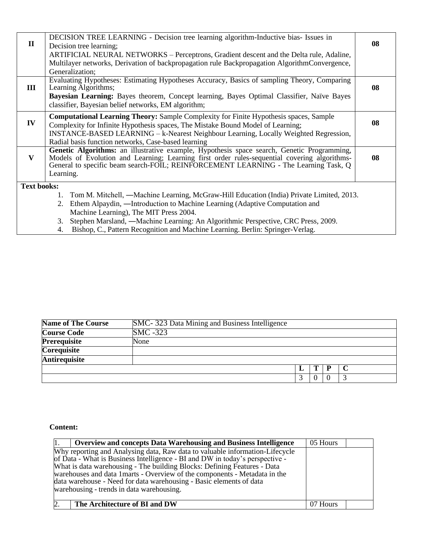| $\mathbf{I}$       | DECISION TREE LEARNING - Decision tree learning algorithm-Inductive bias- Issues in<br>Decision tree learning;                                                                                                                                                                                 | 08 |
|--------------------|------------------------------------------------------------------------------------------------------------------------------------------------------------------------------------------------------------------------------------------------------------------------------------------------|----|
|                    | ARTIFICIAL NEURAL NETWORKS – Perceptrons, Gradient descent and the Delta rule, Adaline,                                                                                                                                                                                                        |    |
|                    | Multilayer networks, Derivation of backpropagation rule Backpropagation AlgorithmConvergence,                                                                                                                                                                                                  |    |
|                    | Generalization;                                                                                                                                                                                                                                                                                |    |
| Ш                  | Evaluating Hypotheses: Estimating Hypotheses Accuracy, Basics of sampling Theory, Comparing<br>Learning Algorithms;                                                                                                                                                                            | 08 |
|                    | <b>Bayesian Learning:</b> Bayes theorem, Concept learning, Bayes Optimal Classifier, Naïve Bayes<br>classifier, Bayesian belief networks, EM algorithm;                                                                                                                                        |    |
| IV                 | <b>Computational Learning Theory:</b> Sample Complexity for Finite Hypothesis spaces, Sample<br>Complexity for Infinite Hypothesis spaces, The Mistake Bound Model of Learning;<br>INSTANCE-BASED LEARNING - k-Nearest Neighbour Learning, Locally Weighted Regression,                        | 08 |
|                    | Radial basis function networks, Case-based learning                                                                                                                                                                                                                                            |    |
| V                  | Genetic Algorithms: an illustrative example, Hypothesis space search, Genetic Programming,<br>Models of Evolution and Learning; Learning first order rules-sequential covering algorithms-<br>General to specific beam search-FOIL; REINFORCEMENT LEARNING - The Learning Task, Q<br>Learning. | 08 |
| <b>Text books:</b> |                                                                                                                                                                                                                                                                                                |    |
|                    | Tom M. Mitchell, —Machine Learning, McGraw-Hill Education (India) Private Limited, 2013.                                                                                                                                                                                                       |    |
|                    | Ethem Alpaydin, —Introduction to Machine Learning (Adaptive Computation and<br>2.                                                                                                                                                                                                              |    |
|                    | Machine Learning), The MIT Press 2004.                                                                                                                                                                                                                                                         |    |
|                    | Stephen Marsland, —Machine Learning: An Algorithmic Perspective, CRC Press, 2009.<br>$\mathbf{r}$ ונת יותו נותו של המינה מינו                                                                                                                                                                  |    |

4. Bishop, C., Pattern Recognition and Machine Learning. Berlin: Springer-Verlag.

| <b>Name of The Course</b> | SMC-323 Data Mining and Business Intelligence |              |   |  |
|---------------------------|-----------------------------------------------|--------------|---|--|
| <b>Course Code</b>        | $SMC - 323$                                   |              |   |  |
| <b>Prerequisite</b>       | None                                          |              |   |  |
| <b>Corequisite</b>        |                                               |              |   |  |
| <b>Antirequisite</b>      |                                               |              |   |  |
|                           |                                               | $\mathbf{T}$ | P |  |
|                           |                                               | $\Omega$     |   |  |

## **Content:**

| <b>Overview and concepts Data Warehousing and Business Intelligence</b>                                                                                                                                                                                                                                                                                                                                                                    | 05 Hours |  |
|--------------------------------------------------------------------------------------------------------------------------------------------------------------------------------------------------------------------------------------------------------------------------------------------------------------------------------------------------------------------------------------------------------------------------------------------|----------|--|
| Why reporting and Analysing data, Raw data to valuable information-Lifecycle<br>of Data - What is Business Intelligence - BI and DW in today's perspective -<br>What is data warehousing - The building Blocks: Defining Features - Data<br>warehouses and data 1 marts - Overview of the components - Metadata in the<br>data warehouse - Need for data warehousing - Basic elements of data<br>warehousing - trends in data warehousing. |          |  |
| The Architecture of BI and DW                                                                                                                                                                                                                                                                                                                                                                                                              | 07 Hours |  |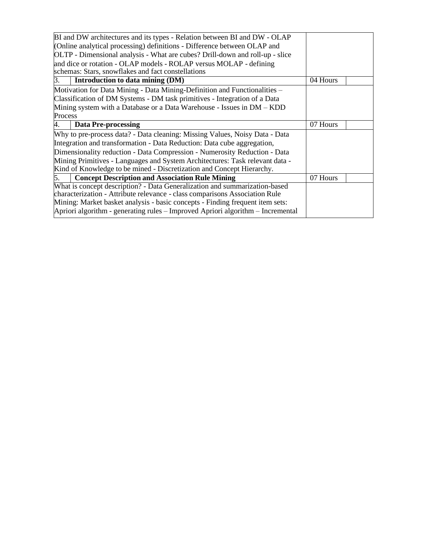| BI and DW architectures and its types - Relation between BI and DW - OLAP       |          |
|---------------------------------------------------------------------------------|----------|
| (Online analytical processing) definitions - Difference between OLAP and        |          |
| OLTP - Dimensional analysis - What are cubes? Drill-down and roll-up - slice    |          |
| and dice or rotation - OLAP models - ROLAP versus MOLAP - defining              |          |
| schemas: Stars, snowflakes and fact constellations                              |          |
| Introduction to data mining (DM)<br>3.                                          | 04 Hours |
| Motivation for Data Mining - Data Mining-Definition and Functionalities –       |          |
| Classification of DM Systems - DM task primitives - Integration of a Data       |          |
| Mining system with a Database or a Data Warehouse - Issues in DM – KDD          |          |
| Process                                                                         |          |
| <b>Data Pre-processing</b>                                                      | 07 Hours |
| Why to pre-process data? - Data cleaning: Missing Values, Noisy Data - Data     |          |
| Integration and transformation - Data Reduction: Data cube aggregation,         |          |
| Dimensionality reduction - Data Compression - Numerosity Reduction - Data       |          |
| Mining Primitives - Languages and System Architectures: Task relevant data -    |          |
| Kind of Knowledge to be mined - Discretization and Concept Hierarchy.           |          |
| <b>Concept Description and Association Rule Mining</b><br>5.                    | 07 Hours |
| What is concept description? - Data Generalization and summarization-based      |          |
| characterization - Attribute relevance - class comparisons Association Rule     |          |
| Mining: Market basket analysis - basic concepts - Finding frequent item sets:   |          |
| Apriori algorithm - generating rules - Improved Apriori algorithm - Incremental |          |